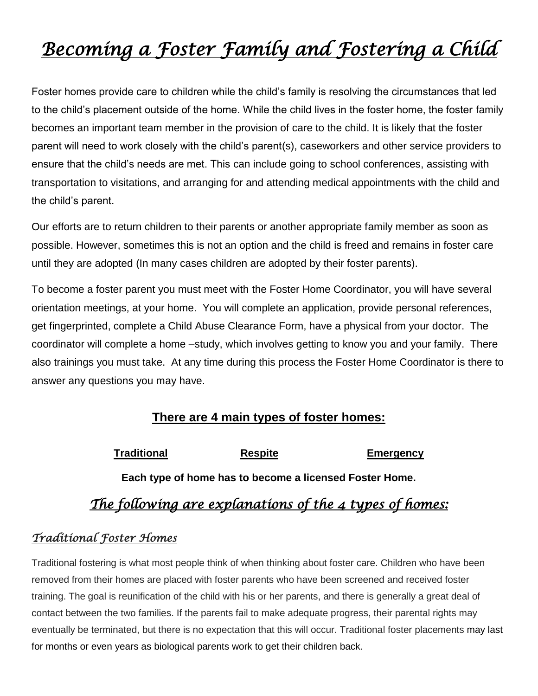# *Becoming a Foster Family and Fostering a Child*

Foster homes provide care to children while the child's family is resolving the circumstances that led to the child's placement outside of the home. While the child lives in the foster home, the foster family becomes an important team member in the provision of care to the child. It is likely that the foster parent will need to work closely with the child's parent(s), caseworkers and other service providers to ensure that the child's needs are met. This can include going to school conferences, assisting with transportation to visitations, and arranging for and attending medical appointments with the child and the child's parent.

Our efforts are to return children to their parents or another appropriate family member as soon as possible. However, sometimes this is not an option and the child is freed and remains in foster care until they are adopted (In many cases children are adopted by their foster parents).

To become a foster parent you must meet with the Foster Home Coordinator, you will have several orientation meetings, at your home. You will complete an application, provide personal references, get fingerprinted, complete a Child Abuse Clearance Form, have a physical from your doctor. The coordinator will complete a home –study, which involves getting to know you and your family. There also trainings you must take. At any time during this process the Foster Home Coordinator is there to answer any questions you may have.

#### **There are 4 main types of foster homes:**

| <b>Traditional</b> | <b>Respite</b> | Emergency |
|--------------------|----------------|-----------|
|--------------------|----------------|-----------|

**Each type of home has to become a licensed Foster Home.**

### *The following are explanations of the 4 types of homes:*

#### *Traditional Foster Homes*

Traditional fostering is what most people think of when thinking about foster care. Children who have been removed from their homes are placed with foster parents who have been screened and received foster training. The goal is reunification of the child with his or her parents, and there is generally a great deal of contact between the two families. If the parents fail to make adequate progress, their parental rights may eventually be terminated, but there is no expectation that this will occur. Traditional foster placements may last for months or even years as biological parents work to get their children back.